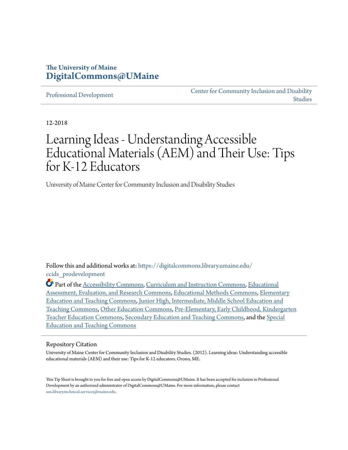#### **The University of Maine [DigitalCommons@UMaine](https://digitalcommons.library.umaine.edu/?utm_source=digitalcommons.library.umaine.edu%2Fccids_prodevelopment%2F1&utm_medium=PDF&utm_campaign=PDFCoverPages)**

[Professional Development](https://digitalcommons.library.umaine.edu/ccids_prodevelopment?utm_source=digitalcommons.library.umaine.edu%2Fccids_prodevelopment%2F1&utm_medium=PDF&utm_campaign=PDFCoverPages)

[Center for Community Inclusion and Disability](https://digitalcommons.library.umaine.edu/ccids?utm_source=digitalcommons.library.umaine.edu%2Fccids_prodevelopment%2F1&utm_medium=PDF&utm_campaign=PDFCoverPages) [Studies](https://digitalcommons.library.umaine.edu/ccids?utm_source=digitalcommons.library.umaine.edu%2Fccids_prodevelopment%2F1&utm_medium=PDF&utm_campaign=PDFCoverPages)

12-2018

## Learning Ideas - Understanding Accessible Educational Materials (AEM) and Their Use: Tips for K-12 Educators

University of Maine Center for Community Inclusion and Disability Studies

Follow this and additional works at: [https://digitalcommons.library.umaine.edu/](https://digitalcommons.library.umaine.edu/ccids_prodevelopment?utm_source=digitalcommons.library.umaine.edu%2Fccids_prodevelopment%2F1&utm_medium=PDF&utm_campaign=PDFCoverPages) [ccids\\_prodevelopment](https://digitalcommons.library.umaine.edu/ccids_prodevelopment?utm_source=digitalcommons.library.umaine.edu%2Fccids_prodevelopment%2F1&utm_medium=PDF&utm_campaign=PDFCoverPages)

Part of the [Accessibility Commons](http://network.bepress.com/hgg/discipline/1318?utm_source=digitalcommons.library.umaine.edu%2Fccids_prodevelopment%2F1&utm_medium=PDF&utm_campaign=PDFCoverPages), [Curriculum and Instruction Commons,](http://network.bepress.com/hgg/discipline/786?utm_source=digitalcommons.library.umaine.edu%2Fccids_prodevelopment%2F1&utm_medium=PDF&utm_campaign=PDFCoverPages) [Educational](http://network.bepress.com/hgg/discipline/796?utm_source=digitalcommons.library.umaine.edu%2Fccids_prodevelopment%2F1&utm_medium=PDF&utm_campaign=PDFCoverPages) [Assessment, Evaluation, and Research Commons,](http://network.bepress.com/hgg/discipline/796?utm_source=digitalcommons.library.umaine.edu%2Fccids_prodevelopment%2F1&utm_medium=PDF&utm_campaign=PDFCoverPages) [Educational Methods Commons,](http://network.bepress.com/hgg/discipline/1227?utm_source=digitalcommons.library.umaine.edu%2Fccids_prodevelopment%2F1&utm_medium=PDF&utm_campaign=PDFCoverPages) [Elementary](http://network.bepress.com/hgg/discipline/805?utm_source=digitalcommons.library.umaine.edu%2Fccids_prodevelopment%2F1&utm_medium=PDF&utm_campaign=PDFCoverPages) [Education and Teaching Commons,](http://network.bepress.com/hgg/discipline/805?utm_source=digitalcommons.library.umaine.edu%2Fccids_prodevelopment%2F1&utm_medium=PDF&utm_campaign=PDFCoverPages) [Junior High, Intermediate, Middle School Education and](http://network.bepress.com/hgg/discipline/807?utm_source=digitalcommons.library.umaine.edu%2Fccids_prodevelopment%2F1&utm_medium=PDF&utm_campaign=PDFCoverPages) [Teaching Commons,](http://network.bepress.com/hgg/discipline/807?utm_source=digitalcommons.library.umaine.edu%2Fccids_prodevelopment%2F1&utm_medium=PDF&utm_campaign=PDFCoverPages) [Other Education Commons,](http://network.bepress.com/hgg/discipline/811?utm_source=digitalcommons.library.umaine.edu%2Fccids_prodevelopment%2F1&utm_medium=PDF&utm_campaign=PDFCoverPages) [Pre-Elementary, Early Childhood, Kindergarten](http://network.bepress.com/hgg/discipline/808?utm_source=digitalcommons.library.umaine.edu%2Fccids_prodevelopment%2F1&utm_medium=PDF&utm_campaign=PDFCoverPages) [Teacher Education Commons](http://network.bepress.com/hgg/discipline/808?utm_source=digitalcommons.library.umaine.edu%2Fccids_prodevelopment%2F1&utm_medium=PDF&utm_campaign=PDFCoverPages), [Secondary Education and Teaching Commons,](http://network.bepress.com/hgg/discipline/809?utm_source=digitalcommons.library.umaine.edu%2Fccids_prodevelopment%2F1&utm_medium=PDF&utm_campaign=PDFCoverPages) and the [Special](http://network.bepress.com/hgg/discipline/801?utm_source=digitalcommons.library.umaine.edu%2Fccids_prodevelopment%2F1&utm_medium=PDF&utm_campaign=PDFCoverPages) [Education and Teaching Commons](http://network.bepress.com/hgg/discipline/801?utm_source=digitalcommons.library.umaine.edu%2Fccids_prodevelopment%2F1&utm_medium=PDF&utm_campaign=PDFCoverPages)

#### Repository Citation

University of Maine Center for Community Inclusion and Disability Studies. (2012). Learning ideas: Understanding accessible educational materials (AEM) and their use: Tips for K-12 educators. Orono, ME.

This Tip Sheet is brought to you for free and open access by DigitalCommons@UMaine. It has been accepted for inclusion in Professional Development by an authorized administrator of DigitalCommons@UMaine. For more information, please contact [um.library.technical.services@maine.edu](mailto:um.library.technical.services@maine.edu).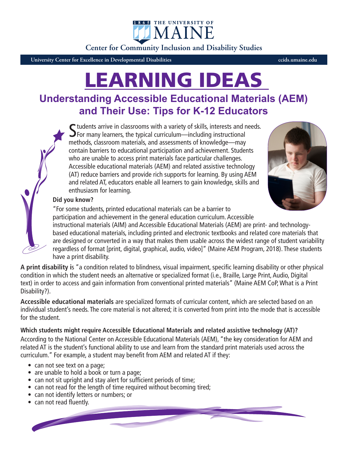IMAIN **Center for Community Inclusion and Disability Studies**

1865 THE UNIVERSITY OF

**University Center for Excellence in Developmental Disabilities ccids.umaine.edu**

# LEARNING IDEAS

### **Understanding Accessible Educational Materials (AEM) and Their Use: Tips for K-12 Educators**

 $\blacksquare$  tudents arrive in classrooms with a variety of skills, interests and needs.  $\sum$  For many learners, the typical curriculum—including instructional methods, classroom materials, and assessments of knowledge—may contain barriers to educational participation and achievement. Students who are unable to access print materials face particular challenges. Accessible educational materials (AEM) and related assistive technology (AT) reduce barriers and provide rich supports for learning. By using AEM and related AT, educators enable all learners to gain knowledge, skills and enthusiasm for learning.



#### **Did you know?**

"For some students, printed educational materials can be a barrier to participation and achievement in the general education curriculum. Accessible instructional materials (AIM) and Accessible Educational Materials (AEM) are print- and technologybased educational materials, including printed and electronic textbooks and related core materials that are designed or converted in a way that makes them usable across the widest range of student variability regardless of format [print, digital, graphical, audio, video]" (Maine AEM Program, 2018). These students have a print disability.

**A print disability i**s "a condition related to blindness, visual impairment, specific learning disability or other physical condition in which the student needs an alternative or specialized format (i.e., Braille, Large Print, Audio, Digital text) in order to access and gain information from conventional printed materials" (Maine AEM CoP, What is a Print Disability?).

**Accessible educational materials** are specialized formats of curricular content, which are selected based on an individual student's needs. The core material is not altered; it is converted from print into the mode that is accessible for the student.

**Which students might require Accessible Educational Materials and related assistive technology (AT)?** According to the National Center on Accessible Educational Materials (AEM), "the key consideration for AEM and related AT is the student's functional ability to use and learn from the standard print materials used across the curriculum." For example, a student may benefit from AEM and related AT if they:

- can not see text on a page;
- are unable to hold a book or turn a page;
- can not sit upright and stay alert for sufficient periods of time;
- can not read for the length of time required without becoming tired;
- can not identify letters or numbers; or
- can not read fluently.